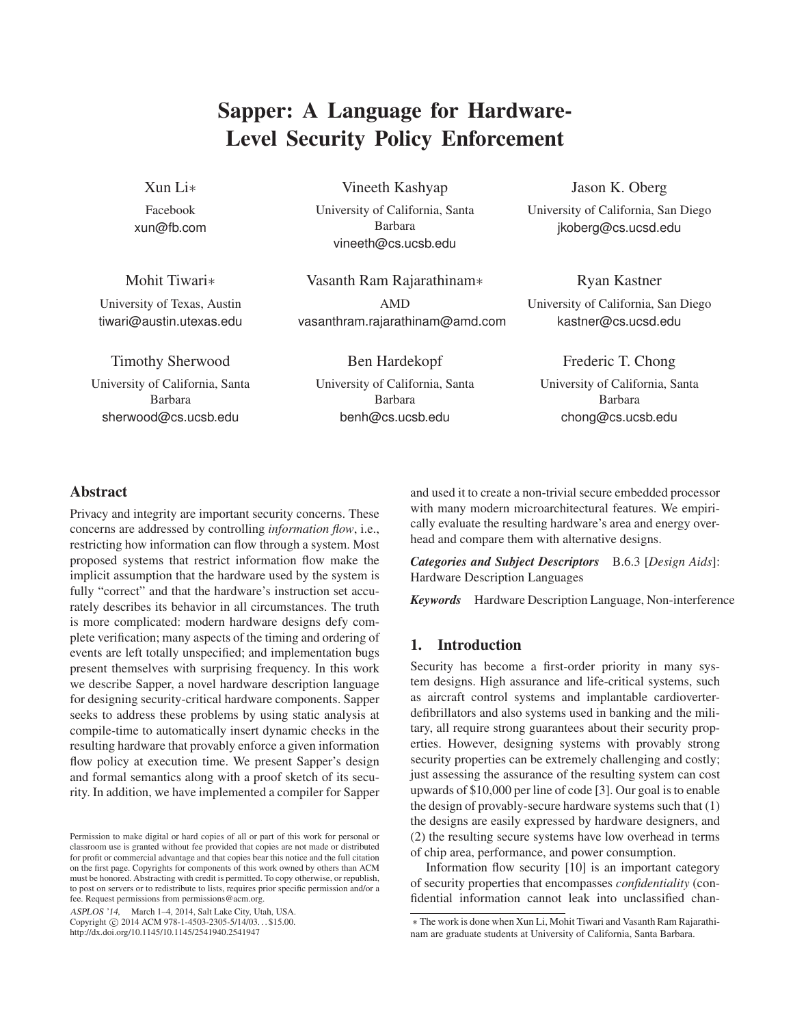# Sapper: A Language for Hardware-Level Security Policy Enforcement

Xun Li∗

Facebook xun@fb.com Vineeth Kashyap

University of California, Santa Barbara vineeth@cs.ucsb.edu

Vasanth Ram Rajarathinam∗ AMD vasanthram.rajarathinam@amd.com Jason K. Oberg

University of California, San Diego jkoberg@cs.ucsd.edu

Mohit Tiwari∗

University of Texas, Austin tiwari@austin.utexas.edu

Timothy Sherwood

University of California, Santa Barbara sherwood@cs.ucsb.edu

Ben Hardekopf

University of California, Santa Barbara benh@cs.ucsb.edu

Ryan Kastner

University of California, San Diego kastner@cs.ucsd.edu

Frederic T. Chong

University of California, Santa Barbara chong@cs.ucsb.edu

# Abstract

Privacy and integrity are important security concerns. These concerns are addressed by controlling *information flow*, i.e., restricting how information can flow through a system. Most proposed systems that restrict information flow make the implicit assumption that the hardware used by the system is fully "correct" and that the hardware's instruction set accurately describes its behavior in all circumstances. The truth is more complicated: modern hardware designs defy complete verification; many aspects of the timing and ordering of events are left totally unspecified; and implementation bugs present themselves with surprising frequency. In this work we describe Sapper, a novel hardware description language for designing security-critical hardware components. Sapper seeks to address these problems by using static analysis at compile-time to automatically insert dynamic checks in the resulting hardware that provably enforce a given information flow policy at execution time. We present Sapper's design and formal semantics along with a proof sketch of its security. In addition, we have implemented a compiler for Sapper

ASPLOS '14, March 1–4, 2014, Salt Lake City, Utah, USA. Copyright © 2014 ACM 978-1-4503-2305-5/14/03... \$15.00. http://dx.doi.org/10.1145/10.1145/2541940.2541947

and used it to create a non-trivial secure embedded processor with many modern microarchitectural features. We empirically evaluate the resulting hardware's area and energy overhead and compare them with alternative designs.

*Categories and Subject Descriptors* B.6.3 [*Design Aids*]: Hardware Description Languages

*Keywords* Hardware Description Language, Non-interference

# 1. Introduction

Security has become a first-order priority in many system designs. High assurance and life-critical systems, such as aircraft control systems and implantable cardioverterdefibrillators and also systems used in banking and the military, all require strong guarantees about their security properties. However, designing systems with provably strong security properties can be extremely challenging and costly; just assessing the assurance of the resulting system can cost upwards of \$10,000 per line of code [3]. Our goal is to enable the design of provably-secure hardware systems such that (1) the designs are easily expressed by hardware designers, and (2) the resulting secure systems have low overhead in terms of chip area, performance, and power consumption.

Information flow security [10] is an important category of security properties that encompasses *confidentiality* (confidential information cannot leak into unclassified chan-

Permission to make digital or hard copies of all or part of this work for personal or classroom use is granted without fee provided that copies are not made or distributed for profit or commercial advantage and that copies bear this notice and the full citation on the first page. Copyrights for components of this work owned by others than ACM must be honored. Abstracting with credit is permitted. To copy otherwise, or republish, to post on servers or to redistribute to lists, requires prior specific permission and/or a fee. Request permissions from permissions@acm.org.

<sup>∗</sup> The work is done when Xun Li, Mohit Tiwari and Vasanth Ram Rajarathinam are graduate students at University of California, Santa Barbara.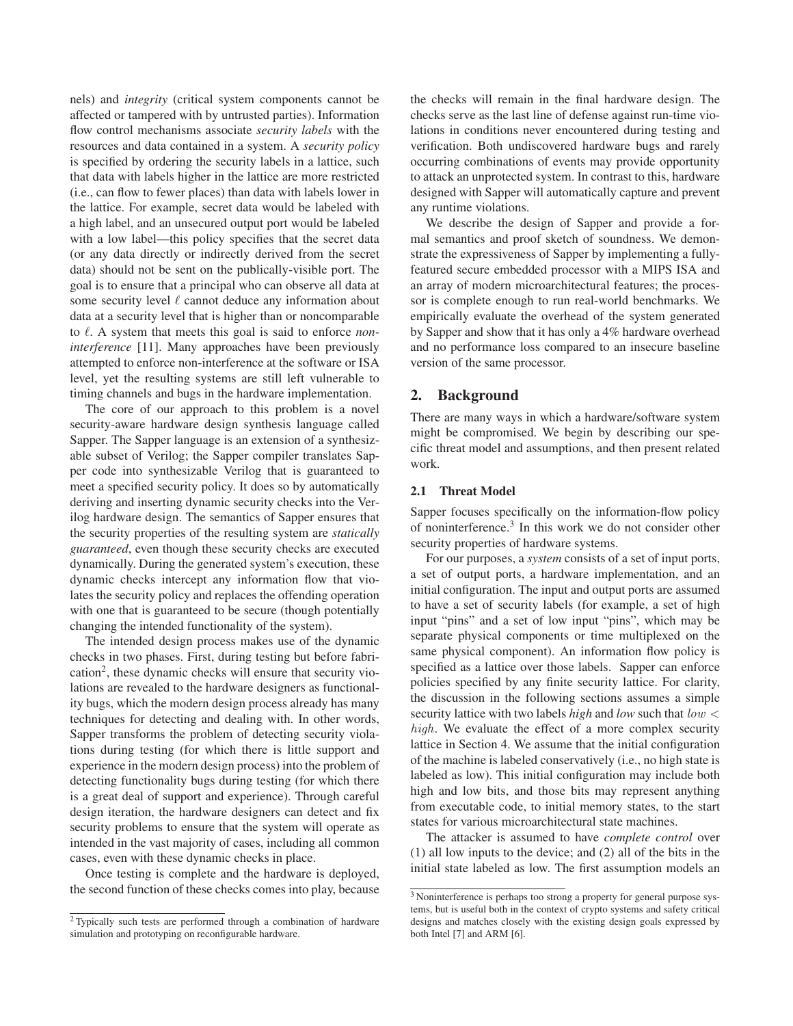nels) and *integrity* (critical system components cannot be affected or tampered with by untrusted parties). Information flow control mechanisms associate *security labels* with the resources and data contained in a system. A *security policy* is specified by ordering the security labels in a lattice, such that data with labels higher in the lattice are more restricted (i.e., can flow to fewer places) than data with labels lower in the lattice. For example, secret data would be labeled with a high label, and an unsecured output port would be labeled with a low label—this policy specifies that the secret data (or any data directly or indirectly derived from the secret data) should not be sent on the publically-visible port. The goal is to ensure that a principal who can observe all data at some security level  $\ell$  cannot deduce any information about data at a security level that is higher than or noncomparable to ℓ. A system that meets this goal is said to enforce *noninterference* [11]. Many approaches have been previously attempted to enforce non-interference at the software or ISA level, yet the resulting systems are still left vulnerable to timing channels and bugs in the hardware implementation.

The core of our approach to this problem is a novel security-aware hardware design synthesis language called Sapper. The Sapper language is an extension of a synthesizable subset of Verilog; the Sapper compiler translates Sapper code into synthesizable Verilog that is guaranteed to meet a specified security policy. It does so by automatically deriving and inserting dynamic security checks into the Verilog hardware design. The semantics of Sapper ensures that the security properties of the resulting system are *statically guaranteed*, even though these security checks are executed dynamically. During the generated system's execution, these dynamic checks intercept any information flow that violates the security policy and replaces the offending operation with one that is guaranteed to be secure (though potentially changing the intended functionality of the system).

The intended design process makes use of the dynamic checks in two phases. First, during testing but before fabrication<sup>2</sup>, these dynamic checks will ensure that security violations are revealed to the hardware designers as functionality bugs, which the modern design process already has many techniques for detecting and dealing with. In other words, Sapper transforms the problem of detecting security violations during testing (for which there is little support and experience in the modern design process) into the problem of detecting functionality bugs during testing (for which there is a great deal of support and experience). Through careful design iteration, the hardware designers can detect and fix security problems to ensure that the system will operate as intended in the vast majority of cases, including all common cases, even with these dynamic checks in place.

Once testing is complete and the hardware is deployed, the second function of these checks comes into play, because the checks will remain in the final hardware design. The checks serve as the last line of defense against run-time violations in conditions never encountered during testing and verification. Both undiscovered hardware bugs and rarely occurring combinations of events may provide opportunity to attack an unprotected system. In contrast to this, hardware designed with Sapper will automatically capture and prevent any runtime violations.

We describe the design of Sapper and provide a formal semantics and proof sketch of soundness. We demonstrate the expressiveness of Sapper by implementing a fullyfeatured secure embedded processor with a MIPS ISA and an array of modern microarchitectural features; the processor is complete enough to run real-world benchmarks. We empirically evaluate the overhead of the system generated by Sapper and show that it has only a 4% hardware overhead and no performance loss compared to an insecure baseline version of the same processor.

# 2. Background

There are many ways in which a hardware/software system might be compromised. We begin by describing our specific threat model and assumptions, and then present related work.

# 2.1 Threat Model

Sapper focuses specifically on the information-flow policy of noninterference.<sup>3</sup> In this work we do not consider other security properties of hardware systems.

For our purposes, a *system* consists of a set of input ports, a set of output ports, a hardware implementation, and an initial configuration. The input and output ports are assumed to have a set of security labels (for example, a set of high input "pins" and a set of low input "pins", which may be separate physical components or time multiplexed on the same physical component). An information flow policy is specified as a lattice over those labels. Sapper can enforce policies specified by any finite security lattice. For clarity, the discussion in the following sections assumes a simple security lattice with two labels *high* and *low* such that low < high. We evaluate the effect of a more complex security lattice in Section 4. We assume that the initial configuration of the machine is labeled conservatively (i.e., no high state is labeled as low). This initial configuration may include both high and low bits, and those bits may represent anything from executable code, to initial memory states, to the start states for various microarchitectural state machines.

The attacker is assumed to have *complete control* over (1) all low inputs to the device; and (2) all of the bits in the initial state labeled as low. The first assumption models an

<sup>2</sup> Typically such tests are performed through a combination of hardware simulation and prototyping on reconfigurable hardware.

<sup>3</sup> Noninterference is perhaps too strong a property for general purpose systems, but is useful both in the context of crypto systems and safety critical designs and matches closely with the existing design goals expressed by both Intel [7] and ARM [6].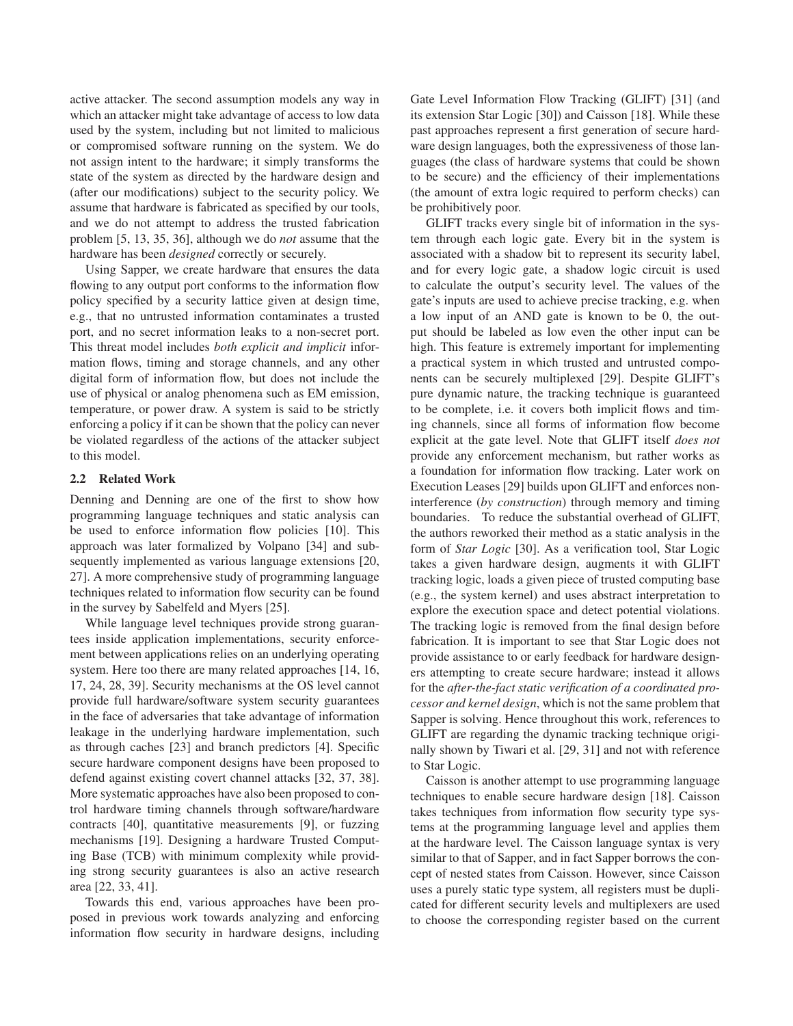active attacker. The second assumption models any way in which an attacker might take advantage of access to low data used by the system, including but not limited to malicious or compromised software running on the system. We do not assign intent to the hardware; it simply transforms the state of the system as directed by the hardware design and (after our modifications) subject to the security policy. We assume that hardware is fabricated as specified by our tools, and we do not attempt to address the trusted fabrication problem [5, 13, 35, 36], although we do *not* assume that the hardware has been *designed* correctly or securely.

Using Sapper, we create hardware that ensures the data flowing to any output port conforms to the information flow policy specified by a security lattice given at design time, e.g., that no untrusted information contaminates a trusted port, and no secret information leaks to a non-secret port. This threat model includes *both explicit and implicit* information flows, timing and storage channels, and any other digital form of information flow, but does not include the use of physical or analog phenomena such as EM emission, temperature, or power draw. A system is said to be strictly enforcing a policy if it can be shown that the policy can never be violated regardless of the actions of the attacker subject to this model.

#### 2.2 Related Work

Denning and Denning are one of the first to show how programming language techniques and static analysis can be used to enforce information flow policies [10]. This approach was later formalized by Volpano [34] and subsequently implemented as various language extensions [20, 27]. A more comprehensive study of programming language techniques related to information flow security can be found in the survey by Sabelfeld and Myers [25].

While language level techniques provide strong guarantees inside application implementations, security enforcement between applications relies on an underlying operating system. Here too there are many related approaches [14, 16, 17, 24, 28, 39]. Security mechanisms at the OS level cannot provide full hardware/software system security guarantees in the face of adversaries that take advantage of information leakage in the underlying hardware implementation, such as through caches [23] and branch predictors [4]. Specific secure hardware component designs have been proposed to defend against existing covert channel attacks [32, 37, 38]. More systematic approaches have also been proposed to control hardware timing channels through software/hardware contracts [40], quantitative measurements [9], or fuzzing mechanisms [19]. Designing a hardware Trusted Computing Base (TCB) with minimum complexity while providing strong security guarantees is also an active research area [22, 33, 41].

Towards this end, various approaches have been proposed in previous work towards analyzing and enforcing information flow security in hardware designs, including

Gate Level Information Flow Tracking (GLIFT) [31] (and its extension Star Logic [30]) and Caisson [18]. While these past approaches represent a first generation of secure hardware design languages, both the expressiveness of those languages (the class of hardware systems that could be shown to be secure) and the efficiency of their implementations (the amount of extra logic required to perform checks) can be prohibitively poor.

GLIFT tracks every single bit of information in the system through each logic gate. Every bit in the system is associated with a shadow bit to represent its security label, and for every logic gate, a shadow logic circuit is used to calculate the output's security level. The values of the gate's inputs are used to achieve precise tracking, e.g. when a low input of an AND gate is known to be 0, the output should be labeled as low even the other input can be high. This feature is extremely important for implementing a practical system in which trusted and untrusted components can be securely multiplexed [29]. Despite GLIFT's pure dynamic nature, the tracking technique is guaranteed to be complete, i.e. it covers both implicit flows and timing channels, since all forms of information flow become explicit at the gate level. Note that GLIFT itself *does not* provide any enforcement mechanism, but rather works as a foundation for information flow tracking. Later work on Execution Leases [29] builds upon GLIFT and enforces noninterference (*by construction*) through memory and timing boundaries. To reduce the substantial overhead of GLIFT, the authors reworked their method as a static analysis in the form of *Star Logic* [30]. As a verification tool, Star Logic takes a given hardware design, augments it with GLIFT tracking logic, loads a given piece of trusted computing base (e.g., the system kernel) and uses abstract interpretation to explore the execution space and detect potential violations. The tracking logic is removed from the final design before fabrication. It is important to see that Star Logic does not provide assistance to or early feedback for hardware designers attempting to create secure hardware; instead it allows for the *after-the-fact static verification of a coordinated processor and kernel design*, which is not the same problem that Sapper is solving. Hence throughout this work, references to GLIFT are regarding the dynamic tracking technique originally shown by Tiwari et al. [29, 31] and not with reference to Star Logic.

Caisson is another attempt to use programming language techniques to enable secure hardware design [18]. Caisson takes techniques from information flow security type systems at the programming language level and applies them at the hardware level. The Caisson language syntax is very similar to that of Sapper, and in fact Sapper borrows the concept of nested states from Caisson. However, since Caisson uses a purely static type system, all registers must be duplicated for different security levels and multiplexers are used to choose the corresponding register based on the current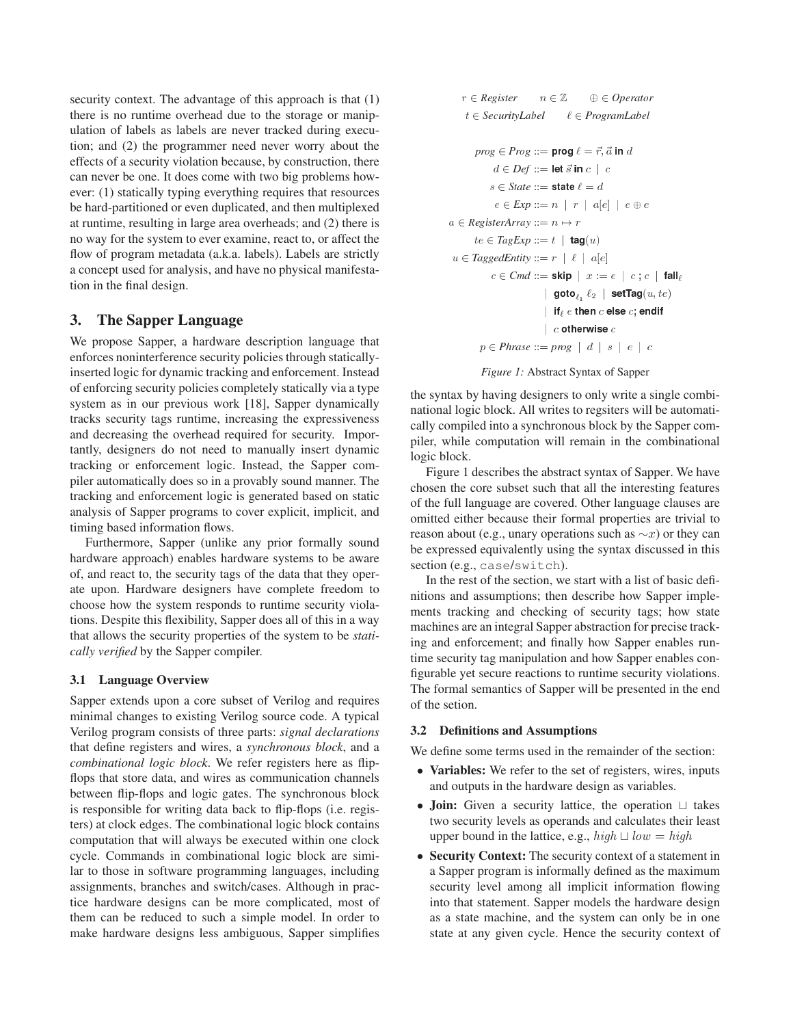security context. The advantage of this approach is that  $(1)$ there is no runtime overhead due to the storage or manipulation of labels as labels are never tracked during execution; and (2) the programmer need never worry about the effects of a security violation because, by construction, there can never be one. It does come with two big problems however: (1) statically typing everything requires that resources be hard-partitioned or even duplicated, and then multiplexed at runtime, resulting in large area overheads; and (2) there is no way for the system to ever examine, react to, or affect the flow of program metadata (a.k.a. labels). Labels are strictly a concept used for analysis, and have no physical manifestation in the final design.

# 3. The Sapper Language

We propose Sapper, a hardware description language that enforces noninterference security policies through staticallyinserted logic for dynamic tracking and enforcement. Instead of enforcing security policies completely statically via a type system as in our previous work [18], Sapper dynamically tracks security tags runtime, increasing the expressiveness and decreasing the overhead required for security. Importantly, designers do not need to manually insert dynamic tracking or enforcement logic. Instead, the Sapper compiler automatically does so in a provably sound manner. The tracking and enforcement logic is generated based on static analysis of Sapper programs to cover explicit, implicit, and timing based information flows.

Furthermore, Sapper (unlike any prior formally sound hardware approach) enables hardware systems to be aware of, and react to, the security tags of the data that they operate upon. Hardware designers have complete freedom to choose how the system responds to runtime security violations. Despite this flexibility, Sapper does all of this in a way that allows the security properties of the system to be *statically verified* by the Sapper compiler.

# 3.1 Language Overview

Sapper extends upon a core subset of Verilog and requires minimal changes to existing Verilog source code. A typical Verilog program consists of three parts: *signal declarations* that define registers and wires, a *synchronous block*, and a *combinational logic block*. We refer registers here as flipflops that store data, and wires as communication channels between flip-flops and logic gates. The synchronous block is responsible for writing data back to flip-flops (i.e. registers) at clock edges. The combinational logic block contains computation that will always be executed within one clock cycle. Commands in combinational logic block are similar to those in software programming languages, including assignments, branches and switch/cases. Although in practice hardware designs can be more complicated, most of them can be reduced to such a simple model. In order to make hardware designs less ambiguous, Sapper simplifies

```
r \in \text{Register} n \in \mathbb{Z} \oplus \in \text{Operator}n \in \mathbb{Z}t \in Security Label \ell \in Program Label
       prog \in Prog ::= \textsf{prog} \ell = \vec{r}, \vec{a} \textsf{in} \, dd \in Def ::= let \vec{s} in c \mid ce \in Exp ::= n \mid r \mid a[e] \mid e \oplus ea \in RegisterArray ::= n \mapsto rte \in TagExp ::= t \mid \text{tag}(u)u \in \text{TaggedEntity} :: = r \mid \ell \mid a[e]c \in Cmd ::= skip x := e \mid c; c \mid fall
                           ❥ ✆☎☞☎✙✶
❵✚ ❥ ✎☛☞✛✏✆✭✓❀ ✁✑✮
                           ❥ ✞✘✙ ✑ ☞❤☛✠ ✍ ☛✡✎☛ ✍✗ ☛✠✜✞✘
                           ❥ ✍ ☎☞❤☛✄✇✞✎☛ ✍
         ✢ ✷ P✣❛s❡ ✿✿❂ ♣♦❣ ❥ ❞ ❥ ✌ ❥ ✑ ❥ ✍
```
*Figure 1:* Abstract Syntax of Sapper

the syntax by having designers to only write a single combinational logic block. All writes to regsiters will be automatically compiled into a synchronous block by the Sapper compiler, while computation will remain in the combinational logic block.

Figure 1 describes the abstract syntax of Sapper. We have chosen the core subset such that all the interesting features of the full language are covered. Other language clauses are omitted either because their formal properties are trivial to reason about (e.g., unary operations such as  $\sim x$ ) or they can be expressed equivalently using the syntax discussed in this section (e.g., case/switch).

In the rest of the section, we start with a list of basic definitions and assumptions; then describe how Sapper implements tracking and checking of security tags; how state machines are an integral Sapper abstraction for precise tracking and enforcement; and finally how Sapper enables runtime security tag manipulation and how Sapper enables configurable yet secure reactions to runtime security violations. The formal semantics of Sapper will be presented in the end of the setion.

# 3.2 Definitions and Assumptions

We define some terms used in the remainder of the section:

- Variables: We refer to the set of registers, wires, inputs and outputs in the hardware design as variables.
- Join: Given a security lattice, the operation ⊔ takes two security levels as operands and calculates their least upper bound in the lattice, e.g., high  $\Box$  low = high
- Security Context: The security context of a statement in a Sapper program is informally defined as the maximum security level among all implicit information flowing into that statement. Sapper models the hardware design as a state machine, and the system can only be in one state at any given cycle. Hence the security context of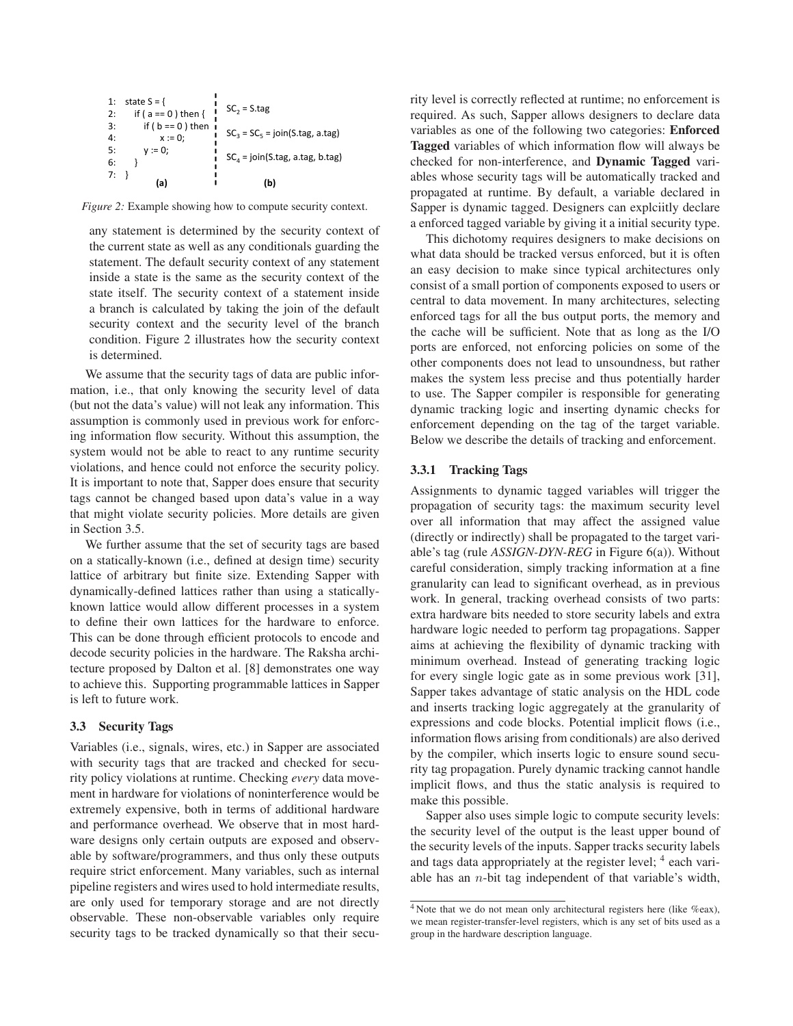

*Figure 2:* Example showing how to compute security context.

any statement is determined by the security context of the current state as well as any conditionals guarding the statement. The default security context of any statement inside a state is the same as the security context of the state itself. The security context of a statement inside a branch is calculated by taking the join of the default security context and the security level of the branch condition. Figure 2 illustrates how the security context is determined.

We assume that the security tags of data are public information, i.e., that only knowing the security level of data (but not the data's value) will not leak any information. This assumption is commonly used in previous work for enforcing information flow security. Without this assumption, the system would not be able to react to any runtime security violations, and hence could not enforce the security policy. It is important to note that, Sapper does ensure that security tags cannot be changed based upon data's value in a way that might violate security policies. More details are given in Section 3.5.

We further assume that the set of security tags are based on a statically-known (i.e., defined at design time) security lattice of arbitrary but finite size. Extending Sapper with dynamically-defined lattices rather than using a staticallyknown lattice would allow different processes in a system to define their own lattices for the hardware to enforce. This can be done through efficient protocols to encode and decode security policies in the hardware. The Raksha architecture proposed by Dalton et al. [8] demonstrates one way to achieve this. Supporting programmable lattices in Sapper is left to future work.

# 3.3 Security Tags

Variables (i.e., signals, wires, etc.) in Sapper are associated with security tags that are tracked and checked for security policy violations at runtime. Checking *every* data movement in hardware for violations of noninterference would be extremely expensive, both in terms of additional hardware and performance overhead. We observe that in most hardware designs only certain outputs are exposed and observable by software/programmers, and thus only these outputs require strict enforcement. Many variables, such as internal pipeline registers and wires used to hold intermediate results, are only used for temporary storage and are not directly observable. These non-observable variables only require security tags to be tracked dynamically so that their security level is correctly reflected at runtime; no enforcement is required. As such, Sapper allows designers to declare data variables as one of the following two categories: Enforced Tagged variables of which information flow will always be checked for non-interference, and Dynamic Tagged variables whose security tags will be automatically tracked and propagated at runtime. By default, a variable declared in Sapper is dynamic tagged. Designers can explciitly declare a enforced tagged variable by giving it a initial security type.

This dichotomy requires designers to make decisions on what data should be tracked versus enforced, but it is often an easy decision to make since typical architectures only consist of a small portion of components exposed to users or central to data movement. In many architectures, selecting enforced tags for all the bus output ports, the memory and the cache will be sufficient. Note that as long as the I/O ports are enforced, not enforcing policies on some of the other components does not lead to unsoundness, but rather makes the system less precise and thus potentially harder to use. The Sapper compiler is responsible for generating dynamic tracking logic and inserting dynamic checks for enforcement depending on the tag of the target variable. Below we describe the details of tracking and enforcement.

# 3.3.1 Tracking Tags

Assignments to dynamic tagged variables will trigger the propagation of security tags: the maximum security level over all information that may affect the assigned value (directly or indirectly) shall be propagated to the target variable's tag (rule *ASSIGN-DYN-REG* in Figure 6(a)). Without careful consideration, simply tracking information at a fine granularity can lead to significant overhead, as in previous work. In general, tracking overhead consists of two parts: extra hardware bits needed to store security labels and extra hardware logic needed to perform tag propagations. Sapper aims at achieving the flexibility of dynamic tracking with minimum overhead. Instead of generating tracking logic for every single logic gate as in some previous work [31], Sapper takes advantage of static analysis on the HDL code and inserts tracking logic aggregately at the granularity of expressions and code blocks. Potential implicit flows (i.e., information flows arising from conditionals) are also derived by the compiler, which inserts logic to ensure sound security tag propagation. Purely dynamic tracking cannot handle implicit flows, and thus the static analysis is required to make this possible.

Sapper also uses simple logic to compute security levels: the security level of the output is the least upper bound of the security levels of the inputs. Sapper tracks security labels and tags data appropriately at the register level; <sup>4</sup> each variable has an n-bit tag independent of that variable's width,

<sup>&</sup>lt;sup>4</sup> Note that we do not mean only architectural registers here (like %eax), we mean register-transfer-level registers, which is any set of bits used as a group in the hardware description language.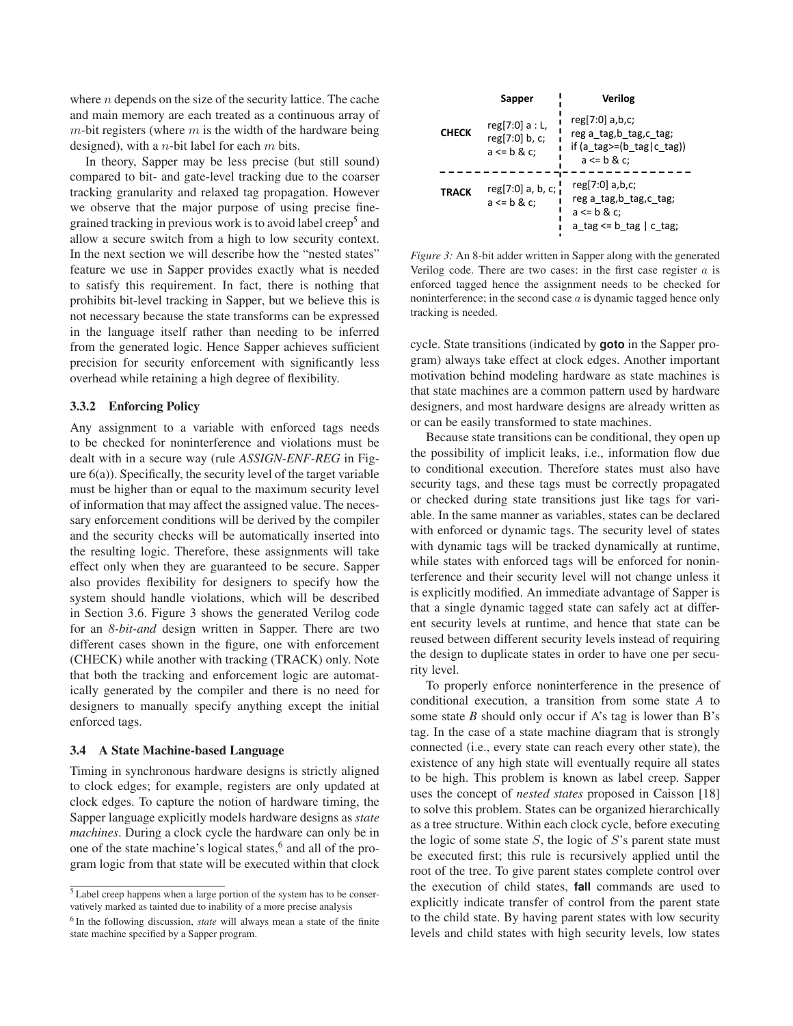where  $n$  depends on the size of the security lattice. The cache and main memory are each treated as a continuous array of  $m$ -bit registers (where  $m$  is the width of the hardware being designed), with a *n*-bit label for each  $m$  bits.

In theory, Sapper may be less precise (but still sound) compared to bit- and gate-level tracking due to the coarser tracking granularity and relaxed tag propagation. However we observe that the major purpose of using precise finegrained tracking in previous work is to avoid label creep<sup>5</sup> and allow a secure switch from a high to low security context. In the next section we will describe how the "nested states" feature we use in Sapper provides exactly what is needed to satisfy this requirement. In fact, there is nothing that prohibits bit-level tracking in Sapper, but we believe this is not necessary because the state transforms can be expressed in the language itself rather than needing to be inferred from the generated logic. Hence Sapper achieves sufficient precision for security enforcement with significantly less overhead while retaining a high degree of flexibility.

## 3.3.2 Enforcing Policy

Any assignment to a variable with enforced tags needs to be checked for noninterference and violations must be dealt with in a secure way (rule *ASSIGN-ENF-REG* in Figure  $6(a)$ ). Specifically, the security level of the target variable must be higher than or equal to the maximum security level of information that may affect the assigned value. The necessary enforcement conditions will be derived by the compiler and the security checks will be automatically inserted into the resulting logic. Therefore, these assignments will take effect only when they are guaranteed to be secure. Sapper also provides flexibility for designers to specify how the system should handle violations, which will be described in Section 3.6. Figure 3 shows the generated Verilog code for an *8-bit-and* design written in Sapper. There are two different cases shown in the figure, one with enforcement (CHECK) while another with tracking (TRACK) only. Note that both the tracking and enforcement logic are automatically generated by the compiler and there is no need for designers to manually specify anything except the initial enforced tags.

#### 3.4 A State Machine-based Language

Timing in synchronous hardware designs is strictly aligned to clock edges; for example, registers are only updated at clock edges. To capture the notion of hardware timing, the Sapper language explicitly models hardware designs as *state machines*. During a clock cycle the hardware can only be in one of the state machine's logical states,<sup>6</sup> and all of the program logic from that state will be executed within that clock



*Figure 3:* An 8-bit adder written in Sapper along with the generated Verilog code. There are two cases: in the first case register  $a$  is enforced tagged hence the assignment needs to be checked for noninterference; in the second case  $a$  is dynamic tagged hence only tracking is needed.

cycle. State transitions (indicated by **goto** in the Sapper program) always take effect at clock edges. Another important motivation behind modeling hardware as state machines is that state machines are a common pattern used by hardware designers, and most hardware designs are already written as or can be easily transformed to state machines.

Because state transitions can be conditional, they open up the possibility of implicit leaks, i.e., information flow due to conditional execution. Therefore states must also have security tags, and these tags must be correctly propagated or checked during state transitions just like tags for variable. In the same manner as variables, states can be declared with enforced or dynamic tags. The security level of states with dynamic tags will be tracked dynamically at runtime, while states with enforced tags will be enforced for noninterference and their security level will not change unless it is explicitly modified. An immediate advantage of Sapper is that a single dynamic tagged state can safely act at different security levels at runtime, and hence that state can be reused between different security levels instead of requiring the design to duplicate states in order to have one per security level.

To properly enforce noninterference in the presence of conditional execution, a transition from some state *A* to some state *B* should only occur if A's tag is lower than B's tag. In the case of a state machine diagram that is strongly connected (i.e., every state can reach every other state), the existence of any high state will eventually require all states to be high. This problem is known as label creep. Sapper uses the concept of *nested states* proposed in Caisson [18] to solve this problem. States can be organized hierarchically as a tree structure. Within each clock cycle, before executing the logic of some state  $S$ , the logic of  $S$ 's parent state must be executed first; this rule is recursively applied until the root of the tree. To give parent states complete control over the execution of child states, **fall** commands are used to explicitly indicate transfer of control from the parent state to the child state. By having parent states with low security levels and child states with high security levels, low states

<sup>5</sup> Label creep happens when a large portion of the system has to be conservatively marked as tainted due to inability of a more precise analysis

<sup>6</sup> In the following discussion, *state* will always mean a state of the finite state machine specified by a Sapper program.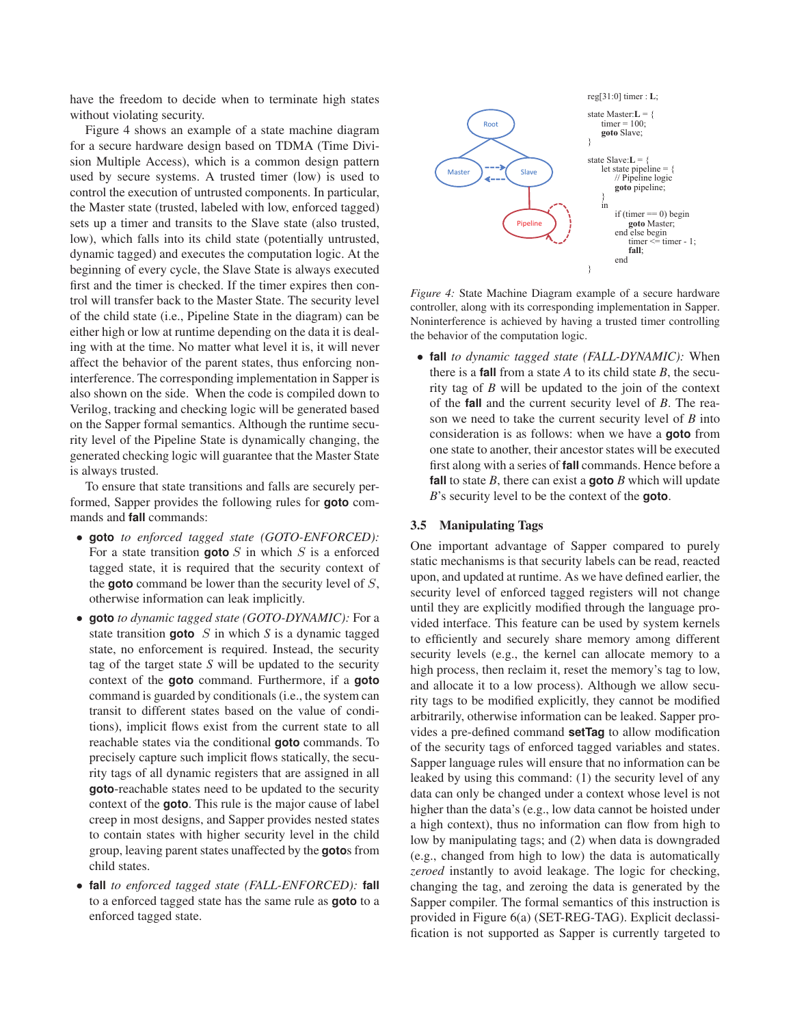have the freedom to decide when to terminate high states without violating security.

Figure 4 shows an example of a state machine diagram for a secure hardware design based on TDMA (Time Division Multiple Access), which is a common design pattern used by secure systems. A trusted timer (low) is used to control the execution of untrusted components. In particular, the Master state (trusted, labeled with low, enforced tagged) sets up a timer and transits to the Slave state (also trusted, low), which falls into its child state (potentially untrusted, dynamic tagged) and executes the computation logic. At the beginning of every cycle, the Slave State is always executed first and the timer is checked. If the timer expires then control will transfer back to the Master State. The security level of the child state (i.e., Pipeline State in the diagram) can be either high or low at runtime depending on the data it is dealing with at the time. No matter what level it is, it will never affect the behavior of the parent states, thus enforcing noninterference. The corresponding implementation in Sapper is also shown on the side. When the code is compiled down to Verilog, tracking and checking logic will be generated based on the Sapper formal semantics. Although the runtime security level of the Pipeline State is dynamically changing, the generated checking logic will guarantee that the Master State is always trusted.

To ensure that state transitions and falls are securely performed, Sapper provides the following rules for **goto** commands and **fall** commands:

- **goto** *to enforced tagged state (GOTO-ENFORCED):* For a state transition **goto**  $S$  in which  $S$  is a enforced tagged state, it is required that the security context of the **goto** command be lower than the security level of S, otherwise information can leak implicitly.
- **goto** *to dynamic tagged state (GOTO-DYNAMIC):* For a state transition **goto** S in which *S* is a dynamic tagged state, no enforcement is required. Instead, the security tag of the target state *S* will be updated to the security context of the **goto** command. Furthermore, if a **goto** command is guarded by conditionals (i.e., the system can transit to different states based on the value of conditions), implicit flows exist from the current state to all reachable states via the conditional **goto** commands. To precisely capture such implicit flows statically, the security tags of all dynamic registers that are assigned in all **goto**-reachable states need to be updated to the security context of the **goto**. This rule is the major cause of label creep in most designs, and Sapper provides nested states to contain states with higher security level in the child group, leaving parent states unaffected by the **goto**s from child states.
- **fall** *to enforced tagged state (FALL-ENFORCED):* **fall** to a enforced tagged state has the same rule as **goto** to a enforced tagged state.



*Figure 4:* State Machine Diagram example of a secure hardware controller, along with its corresponding implementation in Sapper. Noninterference is achieved by having a trusted timer controlling the behavior of the computation logic.

• **fall** *to dynamic tagged state (FALL-DYNAMIC):* When there is a **fall** from a state *A* to its child state *B*, the security tag of *B* will be updated to the join of the context of the **fall** and the current security level of *B*. The reason we need to take the current security level of *B* into consideration is as follows: when we have a **goto** from one state to another, their ancestor states will be executed first along with a series of **fall** commands. Hence before a **fall** to state *B*, there can exist a **goto** *B* which will update *B*'s security level to be the context of the **goto**.

#### 3.5 Manipulating Tags

One important advantage of Sapper compared to purely static mechanisms is that security labels can be read, reacted upon, and updated at runtime. As we have defined earlier, the security level of enforced tagged registers will not change until they are explicitly modified through the language provided interface. This feature can be used by system kernels to efficiently and securely share memory among different security levels (e.g., the kernel can allocate memory to a high process, then reclaim it, reset the memory's tag to low, and allocate it to a low process). Although we allow security tags to be modified explicitly, they cannot be modified arbitrarily, otherwise information can be leaked. Sapper provides a pre-defined command **setTag** to allow modification of the security tags of enforced tagged variables and states. Sapper language rules will ensure that no information can be leaked by using this command: (1) the security level of any data can only be changed under a context whose level is not higher than the data's (e.g., low data cannot be hoisted under a high context), thus no information can flow from high to low by manipulating tags; and (2) when data is downgraded (e.g., changed from high to low) the data is automatically *zeroed* instantly to avoid leakage. The logic for checking, changing the tag, and zeroing the data is generated by the Sapper compiler. The formal semantics of this instruction is provided in Figure 6(a) (SET-REG-TAG). Explicit declassification is not supported as Sapper is currently targeted to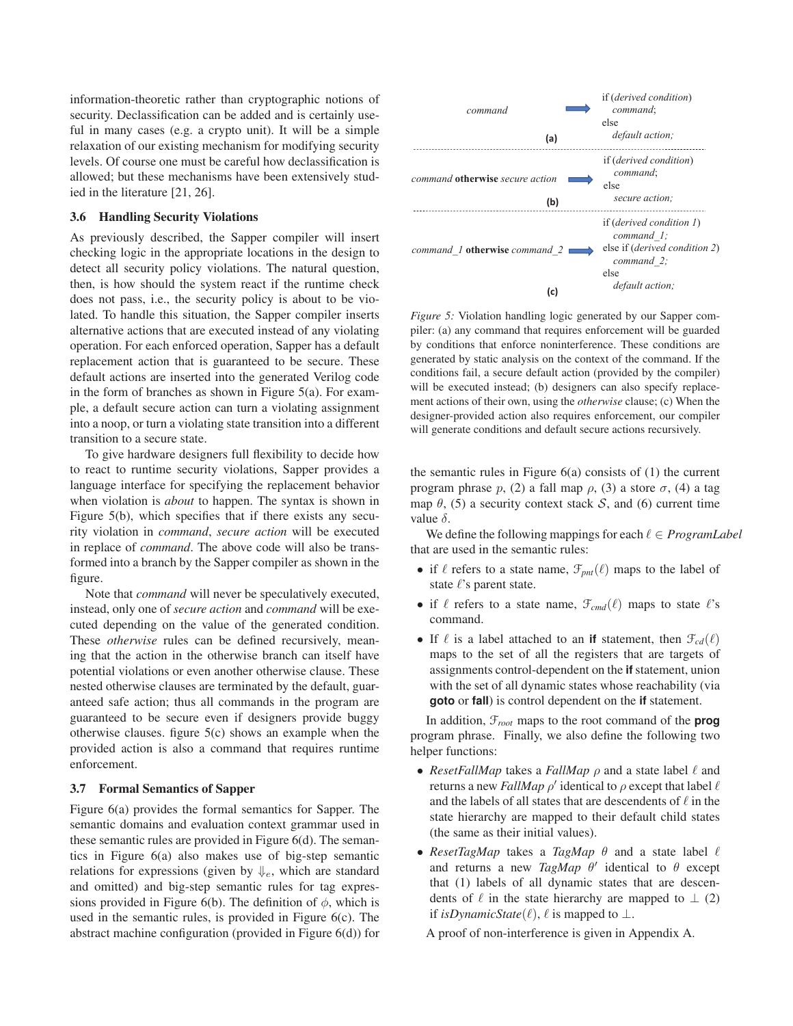information-theoretic rather than cryptographic notions of security. Declassification can be added and is certainly useful in many cases (e.g. a crypto unit). It will be a simple relaxation of our existing mechanism for modifying security levels. Of course one must be careful how declassification is allowed; but these mechanisms have been extensively studied in the literature [21, 26].

#### 3.6 Handling Security Violations

As previously described, the Sapper compiler will insert checking logic in the appropriate locations in the design to detect all security policy violations. The natural question, then, is how should the system react if the runtime check does not pass, i.e., the security policy is about to be violated. To handle this situation, the Sapper compiler inserts alternative actions that are executed instead of any violating operation. For each enforced operation, Sapper has a default replacement action that is guaranteed to be secure. These default actions are inserted into the generated Verilog code in the form of branches as shown in Figure  $5(a)$ . For example, a default secure action can turn a violating assignment into a noop, or turn a violating state transition into a different transition to a secure state.

To give hardware designers full flexibility to decide how to react to runtime security violations, Sapper provides a language interface for specifying the replacement behavior when violation is *about* to happen. The syntax is shown in Figure 5(b), which specifies that if there exists any security violation in *command*, *secure action* will be executed in replace of *command*. The above code will also be transformed into a branch by the Sapper compiler as shown in the figure.

Note that *command* will never be speculatively executed, instead, only one of *secure action* and *command* will be executed depending on the value of the generated condition. These *otherwise* rules can be defined recursively, meaning that the action in the otherwise branch can itself have potential violations or even another otherwise clause. These nested otherwise clauses are terminated by the default, guaranteed safe action; thus all commands in the program are guaranteed to be secure even if designers provide buggy otherwise clauses. figure 5(c) shows an example when the provided action is also a command that requires runtime enforcement.

#### 3.7 Formal Semantics of Sapper

Figure 6(a) provides the formal semantics for Sapper. The semantic domains and evaluation context grammar used in these semantic rules are provided in Figure 6(d). The semantics in Figure 6(a) also makes use of big-step semantic relations for expressions (given by  $\Downarrow_e$ , which are standard and omitted) and big-step semantic rules for tag expressions provided in Figure 6(b). The definition of  $\phi$ , which is used in the semantic rules, is provided in Figure 6(c). The abstract machine configuration (provided in Figure 6(d)) for



*Figure 5:* Violation handling logic generated by our Sapper compiler: (a) any command that requires enforcement will be guarded by conditions that enforce noninterference. These conditions are generated by static analysis on the context of the command. If the conditions fail, a secure default action (provided by the compiler) will be executed instead; (b) designers can also specify replacement actions of their own, using the *otherwise* clause; (c) When the designer-provided action also requires enforcement, our compiler will generate conditions and default secure actions recursively.

the semantic rules in Figure 6(a) consists of (1) the current program phrase p, (2) a fall map  $\rho$ , (3) a store  $\sigma$ , (4) a tag map  $\theta$ , (5) a security context stack S, and (6) current time value  $\delta$ .

We define the following mappings for each  $\ell \in ProgramLabel$ that are used in the semantic rules:

- if  $\ell$  refers to a state name,  $\mathcal{F}_{pnt}(\ell)$  maps to the label of state  $\ell$ 's parent state.
- if  $\ell$  refers to a state name,  $\mathcal{F}_{cmd}(\ell)$  maps to state  $\ell$ 's command.
- If  $\ell$  is a label attached to an **if** statement, then  $\mathcal{F}_{cd}(\ell)$ maps to the set of all the registers that are targets of assignments control-dependent on the **if** statement, union with the set of all dynamic states whose reachability (via **goto** or **fall**) is control dependent on the **if** statement.

In addition, F*root* maps to the root command of the **prog** program phrase. Finally, we also define the following two helper functions:

- *ResetFallMap* takes a *FallMap* ρ and a state label ℓ and returns a new *FallMap*  $\rho'$  identical to  $\rho$  except that label  $\ell$ and the labels of all states that are descendents of  $\ell$  in the state hierarchy are mapped to their default child states (the same as their initial values).
- *ResetTagMap* takes a *TagMap* θ and a state label ℓ and returns a new *TagMap*  $\theta'$  identical to  $\theta$  except that (1) labels of all dynamic states that are descendents of  $\ell$  in the state hierarchy are mapped to  $\perp$  (2) if *isDynamicState*( $\ell$ ),  $\ell$  is mapped to  $\bot$ .

A proof of non-interference is given in Appendix A.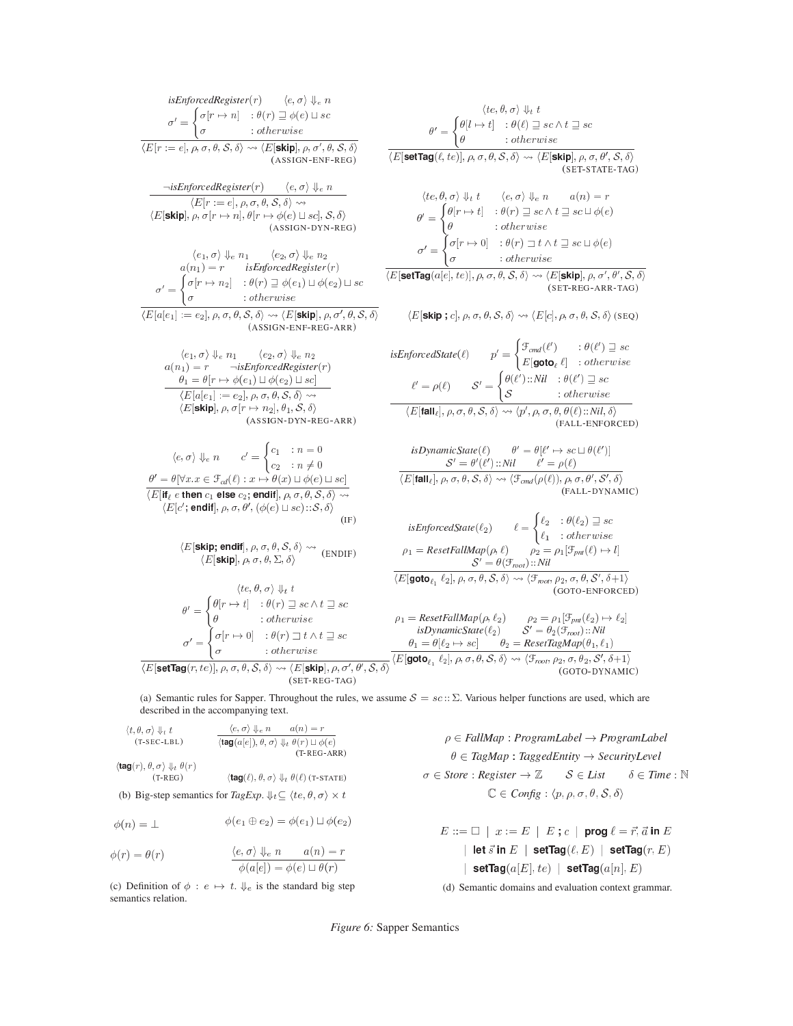(a) Semantic rules for Sapper. Throughout the rules, we assume  $S = sc::\Sigma$ . Various helper functions are used, which are described in the accompanying text.

$$
\langle t, \theta, \sigma \rangle \Downarrow_t t \qquad \qquad \frac{\langle e, \sigma \rangle \Downarrow_e n \qquad a(n) = r}{\langle \text{tag}(a[e]), \theta, \sigma \rangle \Downarrow_t \theta(r) \sqcup \phi(e)}
$$
\n
$$
\langle \text{tag}(r), \theta, \sigma \rangle \Downarrow_t \theta(r) \qquad \qquad (\text{rkgo-ARR})
$$
\n
$$
\langle \text{tag}(r), \theta, \sigma \rangle \Downarrow_t \theta(r) \qquad \qquad \langle \text{tag}(\ell), \theta, \sigma \rangle \Downarrow_t \theta(\ell) \text{ (T-STATE)}
$$
\n
$$
\text{(b) Big-step semantics for } \text{TagExp. } \Downarrow_t \subseteq \langle te, \theta, \sigma \rangle \times t
$$

$$
\phi(n) = \bot \qquad \phi(e_1 \oplus e_2) = \phi(e_1) \sqcup \phi(e_2)
$$

$$
\phi(r) = \theta(r) \qquad \qquad \frac{\langle e, \sigma \rangle \Downarrow_e n \qquad a(n) = r}{\phi(a[e]) = \phi(e) \sqcup \theta(r)}
$$

(c) Definition of  $\phi : e \mapsto t$ .  $\psi_e$  is the standard big step semantics relation.

 $\rho \in FallMap : ProgramLabel \rightarrow ProgramLabel$  $\theta \in TagMap : TaggedEntity \rightarrow SecurityLevel$  $\sigma \in \text{Store}: \text{ Register} \to \mathbb{Z} \qquad \mathcal{S} \in \text{List} \qquad \delta \in \text{Time}: \mathbb{N}$  $\mathbb{C} \in \textit{Config} : \langle p, \rho, \sigma, \theta, \mathcal{S}, \delta \rangle$ 

$$
\begin{aligned} E &::=\square \;\mid\; x:=E\;\mid\; E \; ;\, c\;\mid\; \mathbf{prog}\; \ell=\vec{r}, \vec{a} \text{ in } E \\ &\mid \text{ let } \vec{s} \text{ in } E\;\mid\; \mathbf{setTag}(\ell,E)\;\mid\; \mathbf{setTag}(r,E) \\ &\mid \text{ setTag}(a[E],te)\;\mid\; \mathbf{setTag}(a[n],E) \end{aligned}
$$

(d) Semantic domains and evaluation context grammar.

Figure 6: Sapper Semantics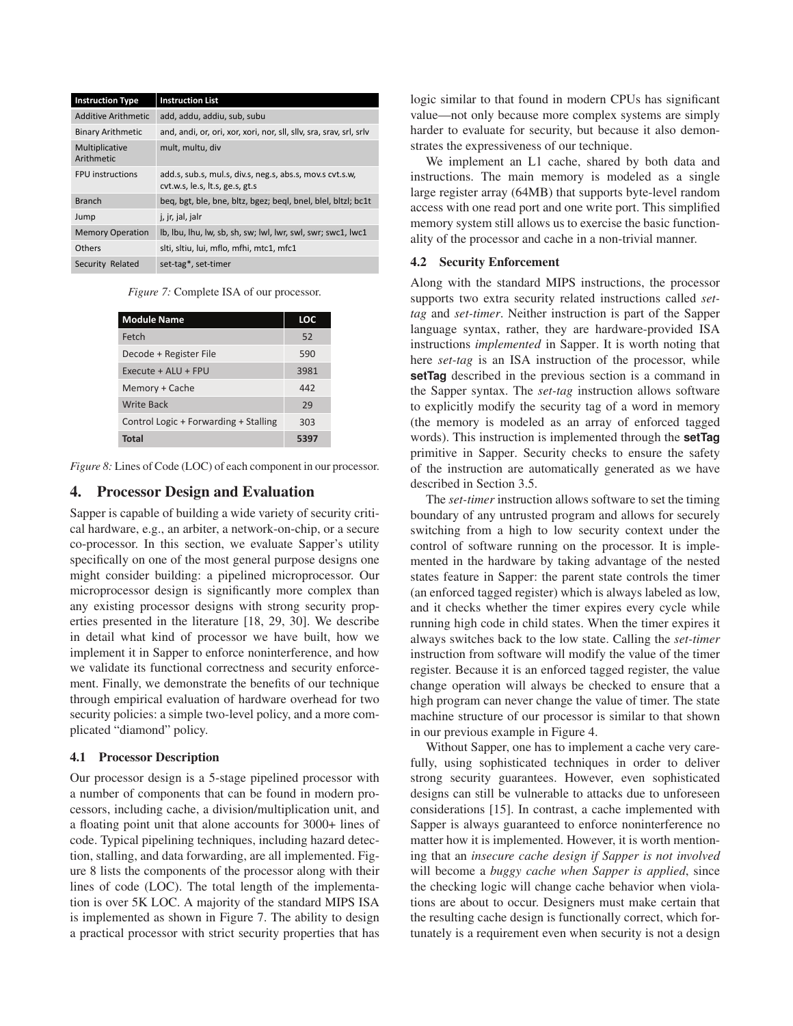| <b>Instruction Type</b>      | <b>Instruction List</b>                                                                     |  |  |  |  |
|------------------------------|---------------------------------------------------------------------------------------------|--|--|--|--|
| Additive Arithmetic          | add, addu, addiu, sub, subu                                                                 |  |  |  |  |
| <b>Binary Arithmetic</b>     | and, andi, or, ori, xor, xori, nor, sll, sllv, sra, srav, srl, srlv                         |  |  |  |  |
| Multiplicative<br>Arithmetic | mult, multu, div                                                                            |  |  |  |  |
| <b>FPU instructions</b>      | add.s, sub.s, mul.s, div.s, neg.s, abs.s, mov.s cvt.s.w,<br>cvt.w.s, le.s, lt.s, ge.s, gt.s |  |  |  |  |
| <b>Branch</b>                | beg, bgt, ble, bne, bltz, bgez; begl, bnel, blel, bltzl; bc1t                               |  |  |  |  |
| Jump                         | j, jr, jal, jalr                                                                            |  |  |  |  |
| <b>Memory Operation</b>      | lb, lbu, lhu, lw, sb, sh, sw; lwl, lwr, swl, swr; swc1, lwc1                                |  |  |  |  |
| Others                       | slti, sltiu, lui, mflo, mfhi, mtc1, mfc1                                                    |  |  |  |  |
| Security Related             | set-tag*, set-timer                                                                         |  |  |  |  |

*Figure 7:* Complete ISA of our processor.

| <b>Module Name</b>                    | LOC  |  |
|---------------------------------------|------|--|
| Fetch                                 | 52   |  |
| Decode + Register File                | 590  |  |
| $Exercise + AllI + FPII$              | 3981 |  |
| Memory + Cache                        | 442  |  |
| <b>Write Back</b>                     | 29   |  |
| Control Logic + Forwarding + Stalling | 303  |  |
| <b>Total</b>                          | 53   |  |

*Figure 8:* Lines of Code (LOC) of each component in our processor.

# 4. Processor Design and Evaluation

Sapper is capable of building a wide variety of security critical hardware, e.g., an arbiter, a network-on-chip, or a secure co-processor. In this section, we evaluate Sapper's utility specifically on one of the most general purpose designs one might consider building: a pipelined microprocessor. Our microprocessor design is significantly more complex than any existing processor designs with strong security properties presented in the literature [18, 29, 30]. We describe in detail what kind of processor we have built, how we implement it in Sapper to enforce noninterference, and how we validate its functional correctness and security enforcement. Finally, we demonstrate the benefits of our technique through empirical evaluation of hardware overhead for two security policies: a simple two-level policy, and a more complicated "diamond" policy.

#### 4.1 Processor Description

Our processor design is a 5-stage pipelined processor with a number of components that can be found in modern processors, including cache, a division/multiplication unit, and a floating point unit that alone accounts for 3000+ lines of code. Typical pipelining techniques, including hazard detection, stalling, and data forwarding, are all implemented. Figure 8 lists the components of the processor along with their lines of code (LOC). The total length of the implementation is over 5K LOC. A majority of the standard MIPS ISA is implemented as shown in Figure 7. The ability to design a practical processor with strict security properties that has

logic similar to that found in modern CPUs has significant value—not only because more complex systems are simply harder to evaluate for security, but because it also demonstrates the expressiveness of our technique.

We implement an L1 cache, shared by both data and instructions. The main memory is modeled as a single large register array (64MB) that supports byte-level random access with one read port and one write port. This simplified memory system still allows us to exercise the basic functionality of the processor and cache in a non-trivial manner.

#### 4.2 Security Enforcement

Along with the standard MIPS instructions, the processor supports two extra security related instructions called *settag* and *set-timer*. Neither instruction is part of the Sapper language syntax, rather, they are hardware-provided ISA instructions *implemented* in Sapper. It is worth noting that here *set-tag* is an ISA instruction of the processor, while **setTag** described in the previous section is a command in the Sapper syntax. The *set-tag* instruction allows software to explicitly modify the security tag of a word in memory (the memory is modeled as an array of enforced tagged words). This instruction is implemented through the **setTag** primitive in Sapper. Security checks to ensure the safety of the instruction are automatically generated as we have described in Section 3.5.

The *set-timer* instruction allows software to set the timing boundary of any untrusted program and allows for securely switching from a high to low security context under the control of software running on the processor. It is implemented in the hardware by taking advantage of the nested states feature in Sapper: the parent state controls the timer (an enforced tagged register) which is always labeled as low, and it checks whether the timer expires every cycle while running high code in child states. When the timer expires it always switches back to the low state. Calling the *set-timer* instruction from software will modify the value of the timer register. Because it is an enforced tagged register, the value change operation will always be checked to ensure that a high program can never change the value of timer. The state machine structure of our processor is similar to that shown in our previous example in Figure 4.

Without Sapper, one has to implement a cache very carefully, using sophisticated techniques in order to deliver strong security guarantees. However, even sophisticated designs can still be vulnerable to attacks due to unforeseen considerations [15]. In contrast, a cache implemented with Sapper is always guaranteed to enforce noninterference no matter how it is implemented. However, it is worth mentioning that an *insecure cache design if Sapper is not involved* will become a *buggy cache when Sapper is applied*, since the checking logic will change cache behavior when violations are about to occur. Designers must make certain that the resulting cache design is functionally correct, which fortunately is a requirement even when security is not a design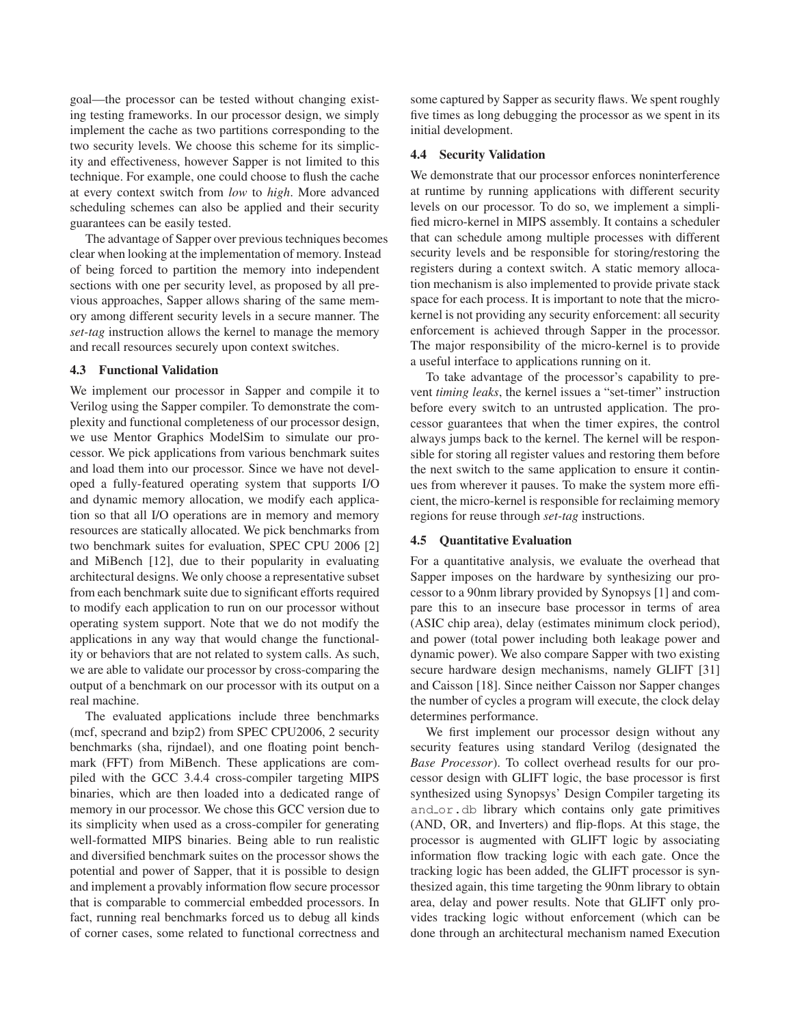goal—the processor can be tested without changing existing testing frameworks. In our processor design, we simply implement the cache as two partitions corresponding to the two security levels. We choose this scheme for its simplicity and effectiveness, however Sapper is not limited to this technique. For example, one could choose to flush the cache at every context switch from *low* to *high*. More advanced scheduling schemes can also be applied and their security guarantees can be easily tested.

The advantage of Sapper over previous techniques becomes clear when looking at the implementation of memory. Instead of being forced to partition the memory into independent sections with one per security level, as proposed by all previous approaches, Sapper allows sharing of the same memory among different security levels in a secure manner. The *set-tag* instruction allows the kernel to manage the memory and recall resources securely upon context switches.

## 4.3 Functional Validation

We implement our processor in Sapper and compile it to Verilog using the Sapper compiler. To demonstrate the complexity and functional completeness of our processor design, we use Mentor Graphics ModelSim to simulate our processor. We pick applications from various benchmark suites and load them into our processor. Since we have not developed a fully-featured operating system that supports I/O and dynamic memory allocation, we modify each application so that all I/O operations are in memory and memory resources are statically allocated. We pick benchmarks from two benchmark suites for evaluation, SPEC CPU 2006 [2] and MiBench [12], due to their popularity in evaluating architectural designs. We only choose a representative subset from each benchmark suite due to significant efforts required to modify each application to run on our processor without operating system support. Note that we do not modify the applications in any way that would change the functionality or behaviors that are not related to system calls. As such, we are able to validate our processor by cross-comparing the output of a benchmark on our processor with its output on a real machine.

The evaluated applications include three benchmarks (mcf, specrand and bzip2) from SPEC CPU2006, 2 security benchmarks (sha, rijndael), and one floating point benchmark (FFT) from MiBench. These applications are compiled with the GCC 3.4.4 cross-compiler targeting MIPS binaries, which are then loaded into a dedicated range of memory in our processor. We chose this GCC version due to its simplicity when used as a cross-compiler for generating well-formatted MIPS binaries. Being able to run realistic and diversified benchmark suites on the processor shows the potential and power of Sapper, that it is possible to design and implement a provably information flow secure processor that is comparable to commercial embedded processors. In fact, running real benchmarks forced us to debug all kinds of corner cases, some related to functional correctness and

some captured by Sapper as security flaws. We spent roughly five times as long debugging the processor as we spent in its initial development.

#### 4.4 Security Validation

We demonstrate that our processor enforces noninterference at runtime by running applications with different security levels on our processor. To do so, we implement a simplified micro-kernel in MIPS assembly. It contains a scheduler that can schedule among multiple processes with different security levels and be responsible for storing/restoring the registers during a context switch. A static memory allocation mechanism is also implemented to provide private stack space for each process. It is important to note that the microkernel is not providing any security enforcement: all security enforcement is achieved through Sapper in the processor. The major responsibility of the micro-kernel is to provide a useful interface to applications running on it.

To take advantage of the processor's capability to prevent *timing leaks*, the kernel issues a "set-timer" instruction before every switch to an untrusted application. The processor guarantees that when the timer expires, the control always jumps back to the kernel. The kernel will be responsible for storing all register values and restoring them before the next switch to the same application to ensure it continues from wherever it pauses. To make the system more efficient, the micro-kernel is responsible for reclaiming memory regions for reuse through *set-tag* instructions.

#### 4.5 Quantitative Evaluation

For a quantitative analysis, we evaluate the overhead that Sapper imposes on the hardware by synthesizing our processor to a 90nm library provided by Synopsys [1] and compare this to an insecure base processor in terms of area (ASIC chip area), delay (estimates minimum clock period), and power (total power including both leakage power and dynamic power). We also compare Sapper with two existing secure hardware design mechanisms, namely GLIFT [31] and Caisson [18]. Since neither Caisson nor Sapper changes the number of cycles a program will execute, the clock delay determines performance.

We first implement our processor design without any security features using standard Verilog (designated the *Base Processor*). To collect overhead results for our processor design with GLIFT logic, the base processor is first synthesized using Synopsys' Design Compiler targeting its and or.db library which contains only gate primitives (AND, OR, and Inverters) and flip-flops. At this stage, the processor is augmented with GLIFT logic by associating information flow tracking logic with each gate. Once the tracking logic has been added, the GLIFT processor is synthesized again, this time targeting the 90nm library to obtain area, delay and power results. Note that GLIFT only provides tracking logic without enforcement (which can be done through an architectural mechanism named Execution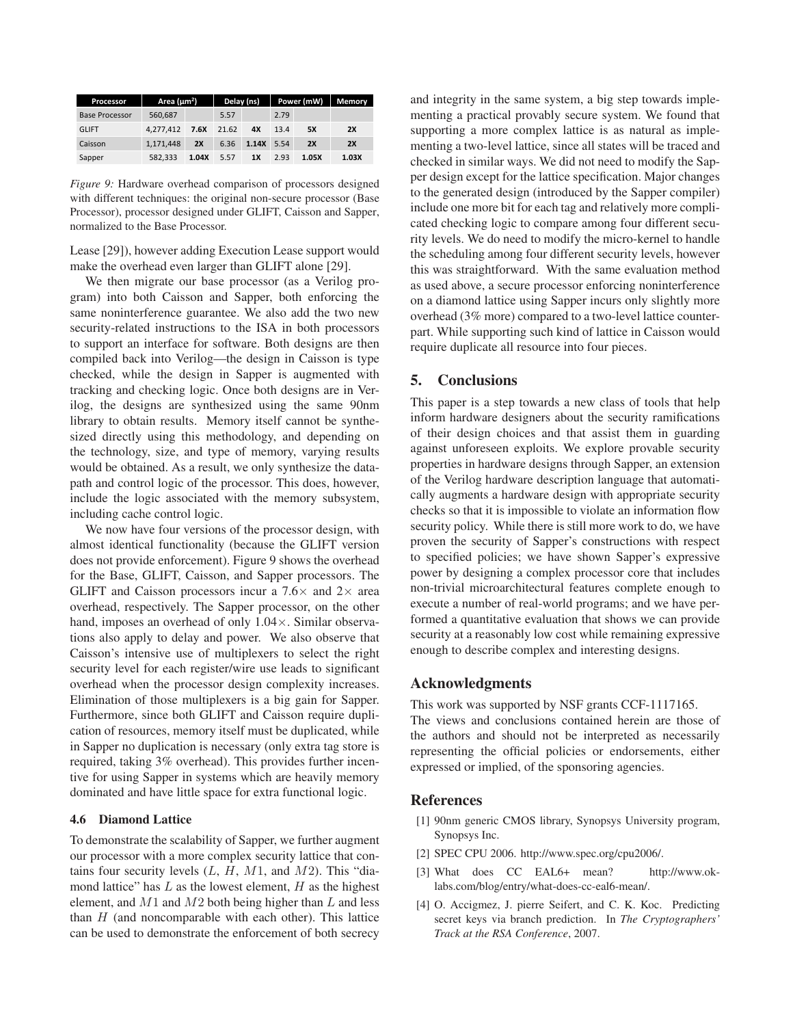| Processor             | Area $(\mu m^2)$ |       | Delay (ns) |       | Power (mW) |           | Memory |
|-----------------------|------------------|-------|------------|-------|------------|-----------|--------|
| <b>Base Processor</b> | 560,687          |       | 5.57       |       | 2.79       |           |        |
| <b>GLIFT</b>          | 4.277.412        | 7.6X  | 21.62      | 4X    | 13.4       | <b>5X</b> | 2X     |
| Caisson               | 1.171.448        | 2X    | 6.36       | 1.14X | 5.54       | 2X        | 2X     |
| Sapper                | 582.333          | 1.04X | 5.57       | 1X    | 2.93       | 1.05X     | 1.03X  |

*Figure 9:* Hardware overhead comparison of processors designed with different techniques: the original non-secure processor (Base Processor), processor designed under GLIFT, Caisson and Sapper, normalized to the Base Processor.

Lease [29]), however adding Execution Lease support would make the overhead even larger than GLIFT alone [29].

We then migrate our base processor (as a Verilog program) into both Caisson and Sapper, both enforcing the same noninterference guarantee. We also add the two new security-related instructions to the ISA in both processors to support an interface for software. Both designs are then compiled back into Verilog—the design in Caisson is type checked, while the design in Sapper is augmented with tracking and checking logic. Once both designs are in Verilog, the designs are synthesized using the same 90nm library to obtain results. Memory itself cannot be synthesized directly using this methodology, and depending on the technology, size, and type of memory, varying results would be obtained. As a result, we only synthesize the datapath and control logic of the processor. This does, however, include the logic associated with the memory subsystem, including cache control logic.

We now have four versions of the processor design, with almost identical functionality (because the GLIFT version does not provide enforcement). Figure 9 shows the overhead for the Base, GLIFT, Caisson, and Sapper processors. The GLIFT and Caisson processors incur a  $7.6\times$  and  $2\times$  area overhead, respectively. The Sapper processor, on the other hand, imposes an overhead of only  $1.04 \times$ . Similar observations also apply to delay and power. We also observe that Caisson's intensive use of multiplexers to select the right security level for each register/wire use leads to significant overhead when the processor design complexity increases. Elimination of those multiplexers is a big gain for Sapper. Furthermore, since both GLIFT and Caisson require duplication of resources, memory itself must be duplicated, while in Sapper no duplication is necessary (only extra tag store is required, taking 3% overhead). This provides further incentive for using Sapper in systems which are heavily memory dominated and have little space for extra functional logic.

# 4.6 Diamond Lattice

To demonstrate the scalability of Sapper, we further augment our processor with a more complex security lattice that contains four security levels  $(L, H, M1, \text{and } M2)$ . This "diamond lattice" has  $L$  as the lowest element,  $H$  as the highest element, and  $M1$  and  $M2$  both being higher than  $L$  and less than  $H$  (and noncomparable with each other). This lattice can be used to demonstrate the enforcement of both secrecy

and integrity in the same system, a big step towards implementing a practical provably secure system. We found that supporting a more complex lattice is as natural as implementing a two-level lattice, since all states will be traced and checked in similar ways. We did not need to modify the Sapper design except for the lattice specification. Major changes to the generated design (introduced by the Sapper compiler) include one more bit for each tag and relatively more complicated checking logic to compare among four different security levels. We do need to modify the micro-kernel to handle the scheduling among four different security levels, however this was straightforward. With the same evaluation method as used above, a secure processor enforcing noninterference on a diamond lattice using Sapper incurs only slightly more overhead (3% more) compared to a two-level lattice counterpart. While supporting such kind of lattice in Caisson would require duplicate all resource into four pieces.

# 5. Conclusions

This paper is a step towards a new class of tools that help inform hardware designers about the security ramifications of their design choices and that assist them in guarding against unforeseen exploits. We explore provable security properties in hardware designs through Sapper, an extension of the Verilog hardware description language that automatically augments a hardware design with appropriate security checks so that it is impossible to violate an information flow security policy. While there is still more work to do, we have proven the security of Sapper's constructions with respect to specified policies; we have shown Sapper's expressive power by designing a complex processor core that includes non-trivial microarchitectural features complete enough to execute a number of real-world programs; and we have performed a quantitative evaluation that shows we can provide security at a reasonably low cost while remaining expressive enough to describe complex and interesting designs.

# Acknowledgments

This work was supported by NSF grants CCF-1117165. The views and conclusions contained herein are those of the authors and should not be interpreted as necessarily representing the official policies or endorsements, either expressed or implied, of the sponsoring agencies.

# **References**

- [1] 90nm generic CMOS library, Synopsys University program, Synopsys Inc.
- [2] SPEC CPU 2006. http://www.spec.org/cpu2006/.
- [3] What does CC EAL6+ mean? http://www.oklabs.com/blog/entry/what-does-cc-eal6-mean/.
- [4] O. Accigmez, J. pierre Seifert, and C. K. Koc. Predicting secret keys via branch prediction. In *The Cryptographers' Track at the RSA Conference*, 2007.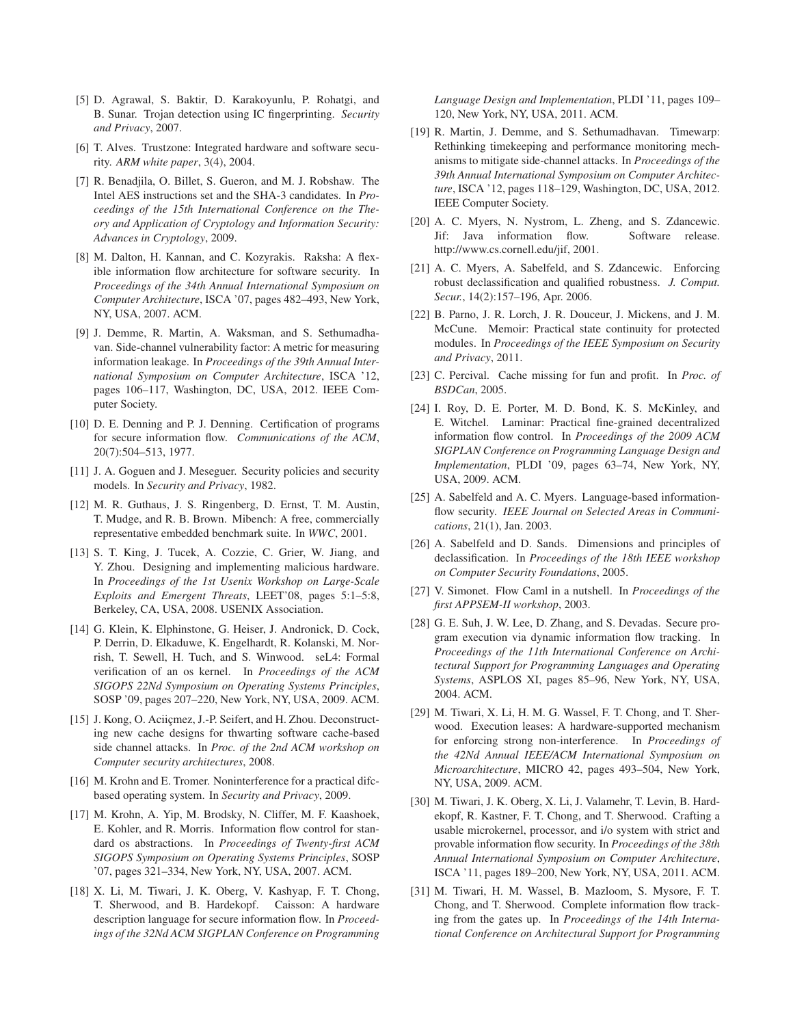- [5] D. Agrawal, S. Baktir, D. Karakoyunlu, P. Rohatgi, and B. Sunar. Trojan detection using IC fingerprinting. *Security and Privacy*, 2007.
- [6] T. Alves. Trustzone: Integrated hardware and software security. *ARM white paper*, 3(4), 2004.
- [7] R. Benadjila, O. Billet, S. Gueron, and M. J. Robshaw. The Intel AES instructions set and the SHA-3 candidates. In *Proceedings of the 15th International Conference on the Theory and Application of Cryptology and Information Security: Advances in Cryptology*, 2009.
- [8] M. Dalton, H. Kannan, and C. Kozyrakis. Raksha: A flexible information flow architecture for software security. In *Proceedings of the 34th Annual International Symposium on Computer Architecture*, ISCA '07, pages 482–493, New York, NY, USA, 2007. ACM.
- [9] J. Demme, R. Martin, A. Waksman, and S. Sethumadhavan. Side-channel vulnerability factor: A metric for measuring information leakage. In *Proceedings of the 39th Annual International Symposium on Computer Architecture*, ISCA '12, pages 106–117, Washington, DC, USA, 2012. IEEE Computer Society.
- [10] D. E. Denning and P. J. Denning. Certification of programs for secure information flow. *Communications of the ACM*, 20(7):504–513, 1977.
- [11] J. A. Goguen and J. Meseguer. Security policies and security models. In *Security and Privacy*, 1982.
- [12] M. R. Guthaus, J. S. Ringenberg, D. Ernst, T. M. Austin, T. Mudge, and R. B. Brown. Mibench: A free, commercially representative embedded benchmark suite. In *WWC*, 2001.
- [13] S. T. King, J. Tucek, A. Cozzie, C. Grier, W. Jiang, and Y. Zhou. Designing and implementing malicious hardware. In *Proceedings of the 1st Usenix Workshop on Large-Scale Exploits and Emergent Threats*, LEET'08, pages 5:1–5:8, Berkeley, CA, USA, 2008. USENIX Association.
- [14] G. Klein, K. Elphinstone, G. Heiser, J. Andronick, D. Cock, P. Derrin, D. Elkaduwe, K. Engelhardt, R. Kolanski, M. Norrish, T. Sewell, H. Tuch, and S. Winwood. seL4: Formal verification of an os kernel. In *Proceedings of the ACM SIGOPS 22Nd Symposium on Operating Systems Principles*, SOSP '09, pages 207–220, New York, NY, USA, 2009. ACM.
- [15] J. Kong, O. Aciic,mez, J.-P. Seifert, and H. Zhou. Deconstructing new cache designs for thwarting software cache-based side channel attacks. In *Proc. of the 2nd ACM workshop on Computer security architectures*, 2008.
- [16] M. Krohn and E. Tromer. Noninterference for a practical difcbased operating system. In *Security and Privacy*, 2009.
- [17] M. Krohn, A. Yip, M. Brodsky, N. Cliffer, M. F. Kaashoek, E. Kohler, and R. Morris. Information flow control for standard os abstractions. In *Proceedings of Twenty-first ACM SIGOPS Symposium on Operating Systems Principles*, SOSP '07, pages 321–334, New York, NY, USA, 2007. ACM.
- [18] X. Li, M. Tiwari, J. K. Oberg, V. Kashyap, F. T. Chong, T. Sherwood, and B. Hardekopf. Caisson: A hardware description language for secure information flow. In *Proceedings of the 32Nd ACM SIGPLAN Conference on Programming*

*Language Design and Implementation*, PLDI '11, pages 109– 120, New York, NY, USA, 2011. ACM.

- [19] R. Martin, J. Demme, and S. Sethumadhavan. Timewarp: Rethinking timekeeping and performance monitoring mechanisms to mitigate side-channel attacks. In *Proceedings of the 39th Annual International Symposium on Computer Architecture*, ISCA '12, pages 118–129, Washington, DC, USA, 2012. IEEE Computer Society.
- [20] A. C. Myers, N. Nystrom, L. Zheng, and S. Zdancewic. Jif: Java information flow. Software release. http://www.cs.cornell.edu/jif, 2001.
- [21] A. C. Myers, A. Sabelfeld, and S. Zdancewic. Enforcing robust declassification and qualified robustness. *J. Comput. Secur.*, 14(2):157–196, Apr. 2006.
- [22] B. Parno, J. R. Lorch, J. R. Douceur, J. Mickens, and J. M. McCune. Memoir: Practical state continuity for protected modules. In *Proceedings of the IEEE Symposium on Security and Privacy*, 2011.
- [23] C. Percival. Cache missing for fun and profit. In *Proc. of BSDCan*, 2005.
- [24] I. Roy, D. E. Porter, M. D. Bond, K. S. McKinley, and E. Witchel. Laminar: Practical fine-grained decentralized information flow control. In *Proceedings of the 2009 ACM SIGPLAN Conference on Programming Language Design and Implementation*, PLDI '09, pages 63–74, New York, NY, USA, 2009. ACM.
- [25] A. Sabelfeld and A. C. Myers. Language-based informationflow security. *IEEE Journal on Selected Areas in Communications*, 21(1), Jan. 2003.
- [26] A. Sabelfeld and D. Sands. Dimensions and principles of declassification. In *Proceedings of the 18th IEEE workshop on Computer Security Foundations*, 2005.
- [27] V. Simonet. Flow Caml in a nutshell. In *Proceedings of the first APPSEM-II workshop*, 2003.
- [28] G. E. Suh, J. W. Lee, D. Zhang, and S. Devadas. Secure program execution via dynamic information flow tracking. In *Proceedings of the 11th International Conference on Architectural Support for Programming Languages and Operating Systems*, ASPLOS XI, pages 85–96, New York, NY, USA, 2004. ACM.
- [29] M. Tiwari, X. Li, H. M. G. Wassel, F. T. Chong, and T. Sherwood. Execution leases: A hardware-supported mechanism for enforcing strong non-interference. In *Proceedings of the 42Nd Annual IEEE/ACM International Symposium on Microarchitecture*, MICRO 42, pages 493–504, New York, NY, USA, 2009. ACM.
- [30] M. Tiwari, J. K. Oberg, X. Li, J. Valamehr, T. Levin, B. Hardekopf, R. Kastner, F. T. Chong, and T. Sherwood. Crafting a usable microkernel, processor, and i/o system with strict and provable information flow security. In *Proceedings of the 38th Annual International Symposium on Computer Architecture*, ISCA '11, pages 189–200, New York, NY, USA, 2011. ACM.
- [31] M. Tiwari, H. M. Wassel, B. Mazloom, S. Mysore, F. T. Chong, and T. Sherwood. Complete information flow tracking from the gates up. In *Proceedings of the 14th International Conference on Architectural Support for Programming*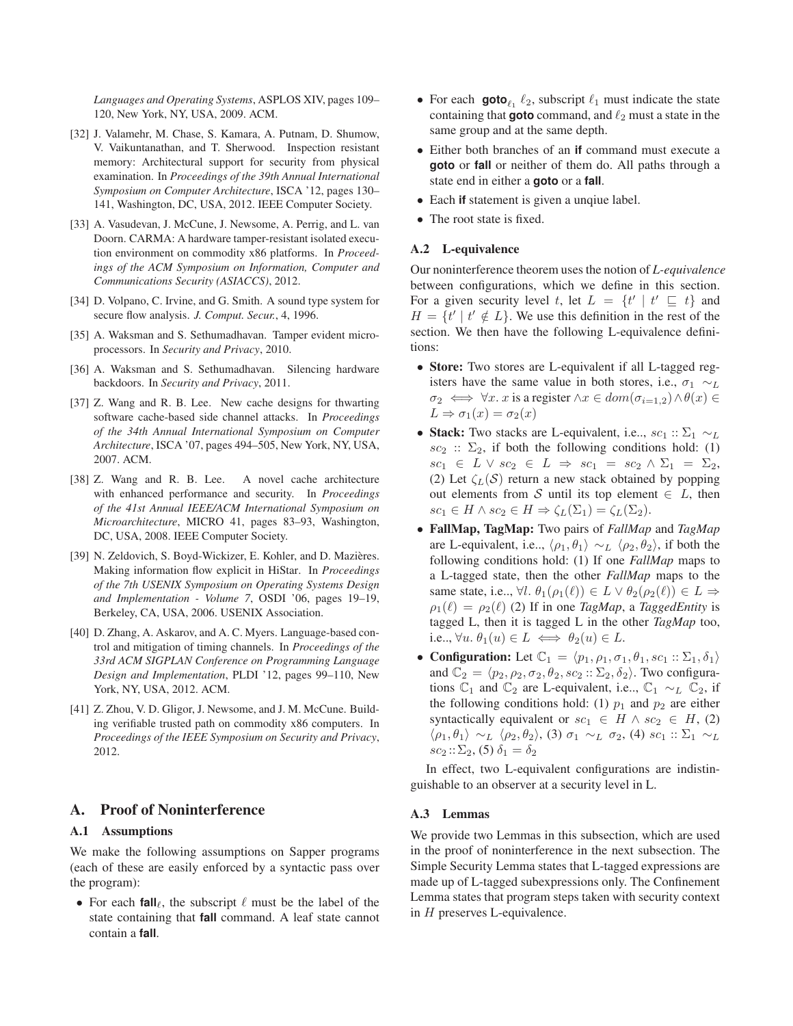*Languages and Operating Systems*, ASPLOS XIV, pages 109– 120, New York, NY, USA, 2009. ACM.

- [32] J. Valamehr, M. Chase, S. Kamara, A. Putnam, D. Shumow, V. Vaikuntanathan, and T. Sherwood. Inspection resistant memory: Architectural support for security from physical examination. In *Proceedings of the 39th Annual International Symposium on Computer Architecture*, ISCA '12, pages 130– 141, Washington, DC, USA, 2012. IEEE Computer Society.
- [33] A. Vasudevan, J. McCune, J. Newsome, A. Perrig, and L. van Doorn. CARMA: A hardware tamper-resistant isolated execution environment on commodity x86 platforms. In *Proceedings of the ACM Symposium on Information, Computer and Communications Security (ASIACCS)*, 2012.
- [34] D. Volpano, C. Irvine, and G. Smith. A sound type system for secure flow analysis. *J. Comput. Secur.*, 4, 1996.
- [35] A. Waksman and S. Sethumadhavan. Tamper evident microprocessors. In *Security and Privacy*, 2010.
- [36] A. Waksman and S. Sethumadhavan. Silencing hardware backdoors. In *Security and Privacy*, 2011.
- [37] Z. Wang and R. B. Lee. New cache designs for thwarting software cache-based side channel attacks. In *Proceedings of the 34th Annual International Symposium on Computer Architecture*, ISCA '07, pages 494–505, New York, NY, USA, 2007. ACM.
- [38] Z. Wang and R. B. Lee. A novel cache architecture with enhanced performance and security. In *Proceedings of the 41st Annual IEEE/ACM International Symposium on Microarchitecture*, MICRO 41, pages 83–93, Washington, DC, USA, 2008. IEEE Computer Society.
- [39] N. Zeldovich, S. Boyd-Wickizer, E. Kohler, and D. Mazières. Making information flow explicit in HiStar. In *Proceedings of the 7th USENIX Symposium on Operating Systems Design and Implementation - Volume 7*, OSDI '06, pages 19–19, Berkeley, CA, USA, 2006. USENIX Association.
- [40] D. Zhang, A. Askarov, and A. C. Myers. Language-based control and mitigation of timing channels. In *Proceedings of the 33rd ACM SIGPLAN Conference on Programming Language Design and Implementation*, PLDI '12, pages 99–110, New York, NY, USA, 2012. ACM.
- [41] Z. Zhou, V. D. Gligor, J. Newsome, and J. M. McCune. Building verifiable trusted path on commodity x86 computers. In *Proceedings of the IEEE Symposium on Security and Privacy*, 2012.

# A. Proof of Noninterference

# A.1 Assumptions

We make the following assumptions on Sapper programs (each of these are easily enforced by a syntactic pass over the program):

• For each **fall**<sub> $\ell$ </sub>, the subscript  $\ell$  must be the label of the state containing that **fall** command. A leaf state cannot contain a **fall**.

- For each **goto**<sub> $\ell_1$ </sub>  $\ell_2$ , subscript  $\ell_1$  must indicate the state containing that **goto** command, and  $\ell_2$  must a state in the same group and at the same depth.
- Either both branches of an **if** command must execute a **goto** or **fall** or neither of them do. All paths through a state end in either a **goto** or a **fall**.
- Each **if** statement is given a unqiue label.
- The root state is fixed.

## A.2 L-equivalence

Our noninterference theorem uses the notion of *L-equivalence* between configurations, which we define in this section. For a given security level t, let  $L = \{t' | t' \sqsubseteq t\}$  and  $H = \{t' \mid t' \notin L\}$ . We use this definition in the rest of the section. We then have the following L-equivalence definitions:

- Store: Two stores are L-equivalent if all L-tagged registers have the same value in both stores, i.e.,  $\sigma_1 \sim_L$  $\sigma_2 \iff \forall x. x$  is a register  $\land x \in dom(\sigma_{i=1,2}) \land \theta(x) \in$  $L \Rightarrow \sigma_1(x) = \sigma_2(x)$
- Stack: Two stacks are L-equivalent, i.e.,  $sc_1$  ::  $\Sigma_1 \sim_L$  $sc_2$ :  $\Sigma_2$ , if both the following conditions hold: (1)  $sc_1 \in L \vee sc_2 \in L \Rightarrow sc_1 = sc_2 \wedge \Sigma_1 = \Sigma_2$ (2) Let  $\zeta_L(\mathcal{S})$  return a new stack obtained by popping out elements from S until its top element  $\in L$ , then  $sc_1 \in H \wedge sc_2 \in H \Rightarrow \zeta_L(\Sigma_1) = \zeta_L(\Sigma_2).$
- FallMap, TagMap: Two pairs of *FallMap* and *TagMap* are L-equivalent, i.e..,  $\langle \rho_1, \theta_1 \rangle \sim_L \langle \rho_2, \theta_2 \rangle$ , if both the following conditions hold: (1) If one *FallMap* maps to a L-tagged state, then the other *FallMap* maps to the same state, i.e..,  $\forall l. \theta_1(\rho_1(\ell)) \in L \lor \theta_2(\rho_2(\ell)) \in L \Rightarrow$  $\rho_1(\ell) = \rho_2(\ell)$  (2) If in one *TagMap*, a *TaggedEntity* is tagged L, then it is tagged L in the other *TagMap* too, i.e..,  $\forall u. \theta_1(u) \in L \iff \theta_2(u) \in L$ .
- Configuration: Let  $\mathbb{C}_1 = \langle p_1, \rho_1, \sigma_1, \theta_1, \mathfrak{so}_1 : \Sigma_1, \delta_1 \rangle$ and  $\mathbb{C}_2 = \langle p_2, \rho_2, \sigma_2, \theta_2, \mathfrak{so}_2 : \Sigma_2, \delta_2 \rangle$ . Two configurations  $\mathbb{C}_1$  and  $\mathbb{C}_2$  are L-equivalent, i.e.,  $\mathbb{C}_1 \sim_L \mathbb{C}_2$ , if the following conditions hold: (1)  $p_1$  and  $p_2$  are either syntactically equivalent or  $sc_1 \in H \wedge sc_2 \in H$ , (2)  $\langle \rho_1, \theta_1 \rangle \sim_L \langle \rho_2, \theta_2 \rangle$ , (3)  $\sigma_1 \sim_L \sigma_2$ , (4)  $sc_1 : \Sigma_1 \sim_L$  $sc_2: \Sigma_2$ , (5)  $\delta_1 = \delta_2$

In effect, two L-equivalent configurations are indistinguishable to an observer at a security level in L.

#### A.3 Lemmas

We provide two Lemmas in this subsection, which are used in the proof of noninterference in the next subsection. The Simple Security Lemma states that L-tagged expressions are made up of L-tagged subexpressions only. The Confinement Lemma states that program steps taken with security context in H preserves L-equivalence.